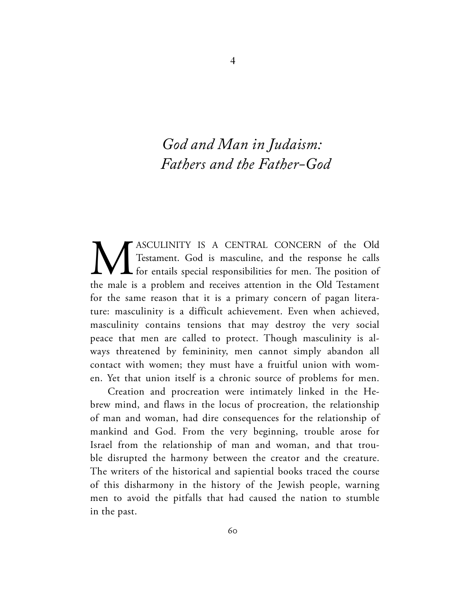# *God and Man in Judaism: Fathers and the Father-God*

ASCULINITY IS A CENTRAL CONCERN of the Old Testament. God is masculine, and the response he calls for entails special responsibilities for men. The position of **the male is a problem and receives attention in the Old Testament.** God is masculine, and the response he calls for entails special responsibilities for men. The position of the male is a problem and receives attention in for the same reason that it is a primary concern of pagan literature: masculinity is a difficult achievement. Even when achieved, masculinity contains tensions that may destroy the very social peace that men are called to protect. Though masculinity is always threatened by femininity, men cannot simply abandon all contact with women; they must have a fruitful union with women. Yet that union itself is a chronic source of problems for men.

Creation and procreation were intimately linked in the Hebrew mind, and flaws in the locus of procreation, the relationship of man and woman, had dire consequences for the relationship of mankind and God. From the very beginning, trouble arose for Israel from the relationship of man and woman, and that trouble disrupted the harmony between the creator and the creature. The writers of the historical and sapiential books traced the course of this disharmony in the history of the Jewish people, warning men to avoid the pitfalls that had caused the nation to stumble in the past.

60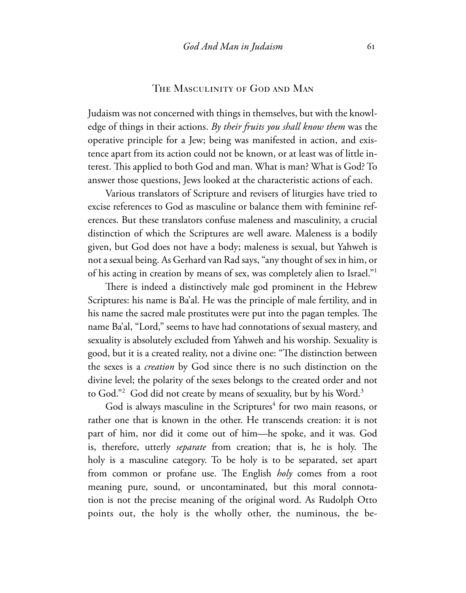### The Masculinity of God and Man

Judaism was not concerned with things in themselves, but with the knowledge of things in their actions. *By their fruits you shall know them* was the operative principle for a Jew; being was manifested in action, and existence apart from its action could not be known, or at least was of little interest. This applied to both God and man. What is man? What is God? To answer those questions, Jews looked at the characteristic actions of each.

Various translators of Scripture and revisers of liturgies have tried to excise references to God as masculine or balance them with feminine references. But these translators confuse maleness and masculinity, a crucial distinction of which the Scriptures are well aware. Maleness is a bodily given, but God does not have a body; maleness is sexual, but Yahweh is not a sexual being. As Gerhard van Rad says, "any thought of sex in him, or of his acting in creation by means of sex, was completely alien to Israel."<sup>1</sup>

There is indeed a distinctively male god prominent in the Hebrew Scriptures: his name is Ba'al. He was the principle of male fertility, and in his name the sacred male prostitutes were put into the pagan temples. The name Ba'al, "Lord," seems to have had connotations of sexual mastery, and sexuality is absolutely excluded from Yahweh and his worship. Sexuality is good, but it is a created reality, not a divine one: "The distinction between the sexes is a *creation* by God since there is no such distinction on the divine level; the polarity of the sexes belongs to the created order and not to God."<sup>2</sup> God did not create by means of sexuality, but by his Word.<sup>3</sup>

God is always masculine in the Scriptures<sup>4</sup> for two main reasons, or rather one that is known in the other. He transcends creation: it is not part of him, nor did it come out of him—he spoke, and it was. God is, therefore, utterly *separate* from creation; that is, he is holy. The holy is a masculine category. To be holy is to be separated, set apart from common or profane use. The English *holy* comes from a root meaning pure, sound, or uncontaminated, but this moral connotation is not the precise meaning of the original word. As Rudolph Otto points out, the holy is the wholly other, the numinous, the be-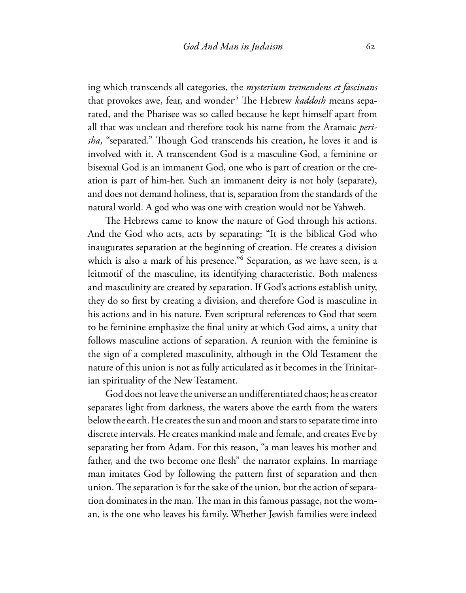ing which transcends all categories, the *mysterium tremendens et fascinans* that provokes awe, fear, and wonder<sup>5</sup> The Hebrew *kaddosh* means separated, and the Pharisee was so called because he kept himself apart from all that was unclean and therefore took his name from the Aramaic *perisha*, "separated." Though God transcends his creation, he loves it and is involved with it. A transcendent God is a masculine God, a feminine or bisexual God is an immanent God, one who is part of creation or the creation is part of him-her. Such an immanent deity is not holy (separate), and does not demand holiness, that is, separation from the standards of the natural world. A god who was one with creation would not be Yahweh.

The Hebrews came to know the nature of God through his actions. And the God who acts, acts by separating: "It is the biblical God who inaugurates separation at the beginning of creation. He creates a division which is also a mark of his presence."6 Separation, as we have seen, is a leitmotif of the masculine, its identifying characteristic. Both maleness and masculinity are created by separation. If God's actions establish unity, they do so first by creating a division, and therefore God is masculine in his actions and in his nature. Even scriptural references to God that seem to be feminine emphasize the final unity at which God aims, a unity that follows masculine actions of separation. A reunion with the feminine is the sign of a completed masculinity, although in the Old Testament the nature of this union is not as fully articulated as it becomes in the Trinitarian spirituality of the New Testament.

God does not leave the universe an undifferentiated chaos; he as creator separates light from darkness, the waters above the earth from the waters below the earth. He creates the sun and moon and stars to separate time into discrete intervals. He creates mankind male and female, and creates Eve by separating her from Adam. For this reason, "a man leaves his mother and father, and the two become one flesh" the narrator explains. In marriage man imitates God by following the pattern first of separation and then union. The separation is for the sake of the union, but the action of separation dominates in the man. The man in this famous passage, not the woman, is the one who leaves his family. Whether Jewish families were indeed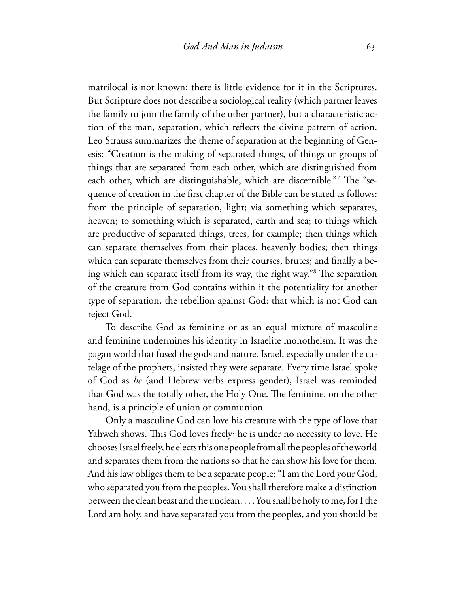matrilocal is not known; there is little evidence for it in the Scriptures. But Scripture does not describe a sociological reality (which partner leaves the family to join the family of the other partner), but a characteristic action of the man, separation, which reflects the divine pattern of action. Leo Strauss summarizes the theme of separation at the beginning of Genesis: "Creation is the making of separated things, of things or groups of things that are separated from each other, which are distinguished from each other, which are distinguishable, which are discernible."7 The "sequence of creation in the first chapter of the Bible can be stated as follows: from the principle of separation, light; via something which separates, heaven; to something which is separated, earth and sea; to things which are productive of separated things, trees, for example; then things which can separate themselves from their places, heavenly bodies; then things which can separate themselves from their courses, brutes; and finally a being which can separate itself from its way, the right way."<sup>8</sup> The separation of the creature from God contains within it the potentiality for another type of separation, the rebellion against God: that which is not God can reject God.

To describe God as feminine or as an equal mixture of masculine and feminine undermines his identity in Israelite monotheism. It was the pagan world that fused the gods and nature. Israel, especially under the tutelage of the prophets, insisted they were separate. Every time Israel spoke of God as *he* (and Hebrew verbs express gender), Israel was reminded that God was the totally other, the Holy One. The feminine, on the other hand, is a principle of union or communion.

Only a masculine God can love his creature with the type of love that Yahweh shows. This God loves freely; he is under no necessity to love. He chooses Israel freely, he elects this one people from all the peoples of the world and separates them from the nations so that he can show his love for them. And his law obliges them to be a separate people: "I am the Lord your God, who separated you from the peoples. You shall therefore make a distinction between the clean beast and the unclean. . . . You shall be holy to me, for I the Lord am holy, and have separated you from the peoples, and you should be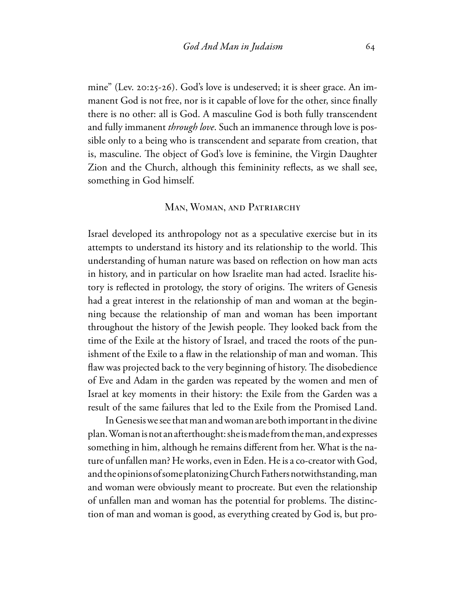mine" (Lev. 20:25-26). God's love is undeserved; it is sheer grace. An immanent God is not free, nor is it capable of love for the other, since finally there is no other: all is God. A masculine God is both fully transcendent and fully immanent *through love*. Such an immanence through love is possible only to a being who is transcendent and separate from creation, that is, masculine. The object of God's love is feminine, the Virgin Daughter Zion and the Church, although this femininity reflects, as we shall see, something in God himself.

### Man, Woman, and Patriarchy

Israel developed its anthropology not as a speculative exercise but in its attempts to understand its history and its relationship to the world. This understanding of human nature was based on reflection on how man acts in history, and in particular on how Israelite man had acted. Israelite history is reflected in protology, the story of origins. The writers of Genesis had a great interest in the relationship of man and woman at the beginning because the relationship of man and woman has been important throughout the history of the Jewish people. They looked back from the time of the Exile at the history of Israel, and traced the roots of the punishment of the Exile to a flaw in the relationship of man and woman. This flaw was projected back to the very beginning of history. The disobedience of Eve and Adam in the garden was repeated by the women and men of Israel at key moments in their history: the Exile from the Garden was a result of the same failures that led to the Exile from the Promised Land.

In Genesis we see that man and woman are both important in the divine plan. Woman is not an afterthought: she is made from the man, and expresses something in him, although he remains different from her. What is the nature of unfallen man? He works, even in Eden. He is a co-creator with God, and the opinions of some platonizing Church Fathers notwithstanding, man and woman were obviously meant to procreate. But even the relationship of unfallen man and woman has the potential for problems. The distinction of man and woman is good, as everything created by God is, but pro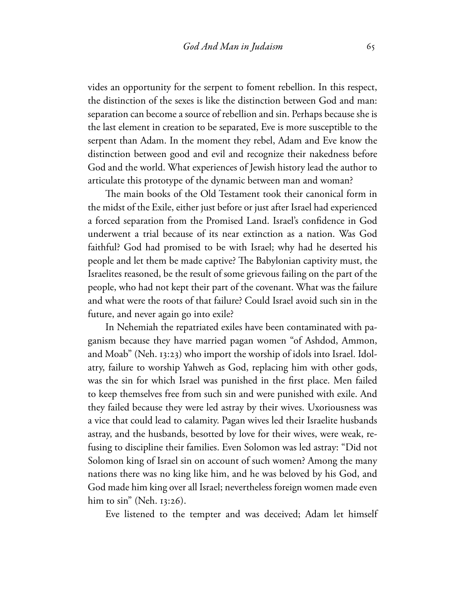vides an opportunity for the serpent to foment rebellion. In this respect, the distinction of the sexes is like the distinction between God and man: separation can become a source of rebellion and sin. Perhaps because she is the last element in creation to be separated, Eve is more susceptible to the serpent than Adam. In the moment they rebel, Adam and Eve know the distinction between good and evil and recognize their nakedness before God and the world. What experiences of Jewish history lead the author to articulate this prototype of the dynamic between man and woman?

The main books of the Old Testament took their canonical form in the midst of the Exile, either just before or just after Israel had experienced a forced separation from the Promised Land. Israel's confidence in God underwent a trial because of its near extinction as a nation. Was God faithful? God had promised to be with Israel; why had he deserted his people and let them be made captive? The Babylonian captivity must, the Israelites reasoned, be the result of some grievous failing on the part of the people, who had not kept their part of the covenant. What was the failure and what were the roots of that failure? Could Israel avoid such sin in the future, and never again go into exile?

In Nehemiah the repatriated exiles have been contaminated with paganism because they have married pagan women "of Ashdod, Ammon, and Moab" (Neh. 13:23) who import the worship of idols into Israel. Idolatry, failure to worship Yahweh as God, replacing him with other gods, was the sin for which Israel was punished in the first place. Men failed to keep themselves free from such sin and were punished with exile. And they failed because they were led astray by their wives. Uxoriousness was a vice that could lead to calamity. Pagan wives led their Israelite husbands astray, and the husbands, besotted by love for their wives, were weak, refusing to discipline their families. Even Solomon was led astray: "Did not Solomon king of Israel sin on account of such women? Among the many nations there was no king like him, and he was beloved by his God, and God made him king over all Israel; nevertheless foreign women made even him to  $sin''$  (Neh. 13:26).

Eve listened to the tempter and was deceived; Adam let himself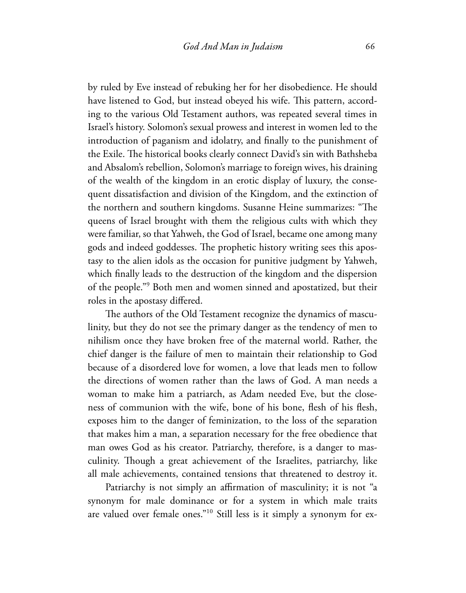by ruled by Eve instead of rebuking her for her disobedience. He should have listened to God, but instead obeyed his wife. This pattern, according to the various Old Testament authors, was repeated several times in Israel's history. Solomon's sexual prowess and interest in women led to the introduction of paganism and idolatry, and finally to the punishment of the Exile. The historical books clearly connect David's sin with Bathsheba and Absalom's rebellion, Solomon's marriage to foreign wives, his draining of the wealth of the kingdom in an erotic display of luxury, the consequent dissatisfaction and division of the Kingdom, and the extinction of the northern and southern kingdoms. Susanne Heine summarizes: "The queens of Israel brought with them the religious cults with which they were familiar, so that Yahweh, the God of Israel, became one among many gods and indeed goddesses. The prophetic history writing sees this apostasy to the alien idols as the occasion for punitive judgment by Yahweh, which finally leads to the destruction of the kingdom and the dispersion of the people."<sup>9</sup> Both men and women sinned and apostatized, but their roles in the apostasy differed.

The authors of the Old Testament recognize the dynamics of masculinity, but they do not see the primary danger as the tendency of men to nihilism once they have broken free of the maternal world. Rather, the chief danger is the failure of men to maintain their relationship to God because of a disordered love for women, a love that leads men to follow the directions of women rather than the laws of God. A man needs a woman to make him a patriarch, as Adam needed Eve, but the closeness of communion with the wife, bone of his bone, flesh of his flesh, exposes him to the danger of feminization, to the loss of the separation that makes him a man, a separation necessary for the free obedience that man owes God as his creator. Patriarchy, therefore, is a danger to masculinity. Though a great achievement of the Israelites, patriarchy, like all male achievements, contained tensions that threatened to destroy it.

Patriarchy is not simply an affirmation of masculinity; it is not "a synonym for male dominance or for a system in which male traits are valued over female ones."10 Still less is it simply a synonym for ex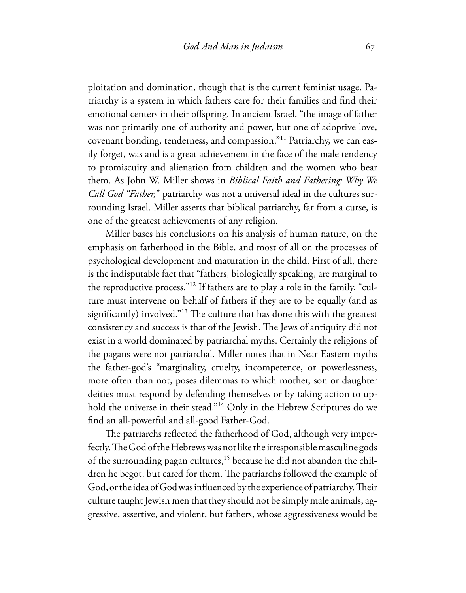ploitation and domination, though that is the current feminist usage. Patriarchy is a system in which fathers care for their families and find their emotional centers in their offspring. In ancient Israel, "the image of father was not primarily one of authority and power, but one of adoptive love, covenant bonding, tenderness, and compassion."11 Patriarchy, we can easily forget, was and is a great achievement in the face of the male tendency to promiscuity and alienation from children and the women who bear them. As John W. Miller shows in *Biblical Faith and Fathering: Why We Call God "Father,*" patriarchy was not a universal ideal in the cultures surrounding Israel. Miller asserts that biblical patriarchy, far from a curse, is one of the greatest achievements of any religion.

Miller bases his conclusions on his analysis of human nature, on the emphasis on fatherhood in the Bible, and most of all on the processes of psychological development and maturation in the child. First of all, there is the indisputable fact that "fathers, biologically speaking, are marginal to the reproductive process."12 If fathers are to play a role in the family, "culture must intervene on behalf of fathers if they are to be equally (and as significantly) involved."<sup>13</sup> The culture that has done this with the greatest consistency and success is that of the Jewish. The Jews of antiquity did not exist in a world dominated by patriarchal myths. Certainly the religions of the pagans were not patriarchal. Miller notes that in Near Eastern myths the father-god's "marginality, cruelty, incompetence, or powerlessness, more often than not, poses dilemmas to which mother, son or daughter deities must respond by defending themselves or by taking action to uphold the universe in their stead."<sup>14</sup> Only in the Hebrew Scriptures do we find an all-powerful and all-good Father-God.

The patriarchs reflected the fatherhood of God, although very imperfectly. The God of the Hebrews was not like the irresponsible masculine gods of the surrounding pagan cultures,<sup>15</sup> because he did not abandon the children he begot, but cared for them. The patriarchs followed the example of God, or the idea of God was influenced by the experience of patriarchy. Their culture taught Jewish men that they should not be simply male animals, aggressive, assertive, and violent, but fathers, whose aggressiveness would be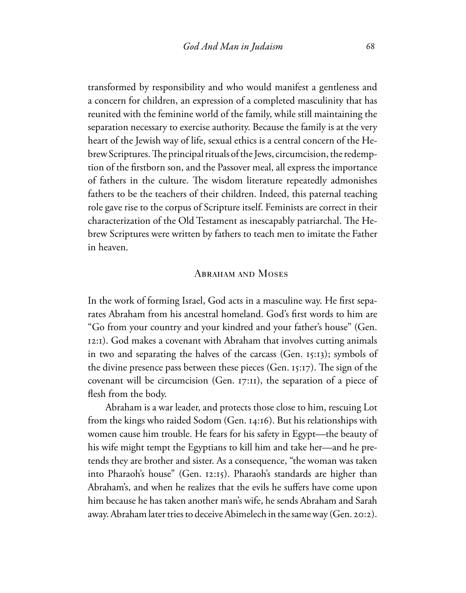transformed by responsibility and who would manifest a gentleness and a concern for children, an expression of a completed masculinity that has reunited with the feminine world of the family, while still maintaining the separation necessary to exercise authority. Because the family is at the very heart of the Jewish way of life, sexual ethics is a central concern of the Hebrew Scriptures. The principal rituals of the Jews, circumcision, the redemption of the firstborn son, and the Passover meal, all express the importance of fathers in the culture. The wisdom literature repeatedly admonishes fathers to be the teachers of their children. Indeed, this paternal teaching role gave rise to the corpus of Scripture itself. Feminists are correct in their characterization of the Old Testament as inescapably patriarchal. The Hebrew Scriptures were written by fathers to teach men to imitate the Father in heaven.

## ABRAHAM AND MOSES

In the work of forming Israel, God acts in a masculine way. He first separates Abraham from his ancestral homeland. God's first words to him are "Go from your country and your kindred and your father's house" (Gen. 2:). God makes a covenant with Abraham that involves cutting animals in two and separating the halves of the carcass (Gen. 15:13); symbols of the divine presence pass between these pieces (Gen. 5:7). The sign of the covenant will be circumcision (Gen.  $17:11$ ), the separation of a piece of flesh from the body.

Abraham is a war leader, and protects those close to him, rescuing Lot from the kings who raided Sodom (Gen. 14:16). But his relationships with women cause him trouble. He fears for his safety in Egypt—the beauty of his wife might tempt the Egyptians to kill him and take her—and he pretends they are brother and sister. As a consequence, "the woman was taken into Pharaoh's house" (Gen. 12:15). Pharaoh's standards are higher than Abraham's, and when he realizes that the evils he suffers have come upon him because he has taken another man's wife, he sends Abraham and Sarah away. Abraham later tries to deceive Abimelech in the same way (Gen. 20:2).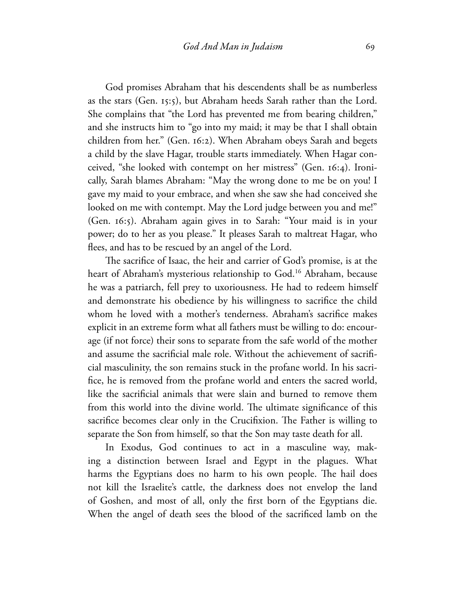God promises Abraham that his descendents shall be as numberless as the stars (Gen. 5:5), but Abraham heeds Sarah rather than the Lord. She complains that "the Lord has prevented me from bearing children," and she instructs him to "go into my maid; it may be that I shall obtain children from her." (Gen. 16:2). When Abraham obeys Sarah and begets a child by the slave Hagar, trouble starts immediately. When Hagar conceived, "she looked with contempt on her mistress" (Gen. 6:4). Ironically, Sarah blames Abraham: "May the wrong done to me be on you! I gave my maid to your embrace, and when she saw she had conceived she looked on me with contempt. May the Lord judge between you and me!" (Gen. 16:5). Abraham again gives in to Sarah: "Your maid is in your power; do to her as you please." It pleases Sarah to maltreat Hagar, who flees, and has to be rescued by an angel of the Lord.

The sacrifice of Isaac, the heir and carrier of God's promise, is at the heart of Abraham's mysterious relationship to God.<sup>16</sup> Abraham, because he was a patriarch, fell prey to uxoriousness. He had to redeem himself and demonstrate his obedience by his willingness to sacrifice the child whom he loved with a mother's tenderness. Abraham's sacrifice makes explicit in an extreme form what all fathers must be willing to do: encourage (if not force) their sons to separate from the safe world of the mother and assume the sacrificial male role. Without the achievement of sacrificial masculinity, the son remains stuck in the profane world. In his sacrifice, he is removed from the profane world and enters the sacred world, like the sacrificial animals that were slain and burned to remove them from this world into the divine world. The ultimate significance of this sacrifice becomes clear only in the Crucifixion. The Father is willing to separate the Son from himself, so that the Son may taste death for all.

In Exodus, God continues to act in a masculine way, making a distinction between Israel and Egypt in the plagues. What harms the Egyptians does no harm to his own people. The hail does not kill the Israelite's cattle, the darkness does not envelop the land of Goshen, and most of all, only the first born of the Egyptians die. When the angel of death sees the blood of the sacrificed lamb on the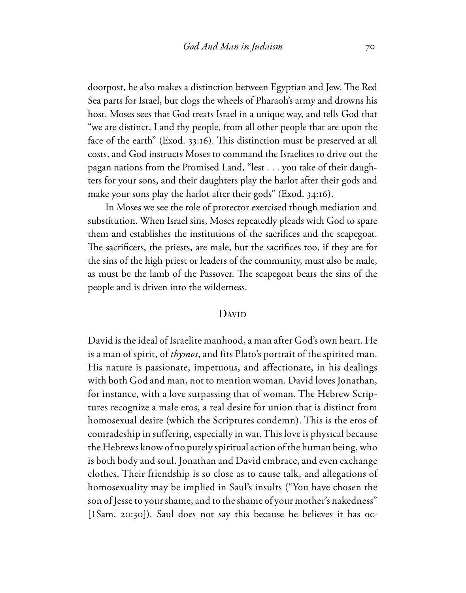doorpost, he also makes a distinction between Egyptian and Jew. The Red Sea parts for Israel, but clogs the wheels of Pharaoh's army and drowns his host. Moses sees that God treats Israel in a unique way, and tells God that "we are distinct, I and thy people, from all other people that are upon the face of the earth" (Exod. 33:16). This distinction must be preserved at all costs, and God instructs Moses to command the Israelites to drive out the pagan nations from the Promised Land, "lest . . . you take of their daughters for your sons, and their daughters play the harlot after their gods and make your sons play the harlot after their gods" (Exod. 34:16).

In Moses we see the role of protector exercised though mediation and substitution. When Israel sins, Moses repeatedly pleads with God to spare them and establishes the institutions of the sacrifices and the scapegoat. The sacrificers, the priests, are male, but the sacrifices too, if they are for the sins of the high priest or leaders of the community, must also be male, as must be the lamb of the Passover. The scapegoat bears the sins of the people and is driven into the wilderness.

## D<sub>AVID</sub>

David is the ideal of Israelite manhood, a man after God's own heart. He is a man of spirit, of *thymos*, and fits Plato's portrait of the spirited man. His nature is passionate, impetuous, and affectionate, in his dealings with both God and man, not to mention woman. David loves Jonathan, for instance, with a love surpassing that of woman. The Hebrew Scriptures recognize a male eros, a real desire for union that is distinct from homosexual desire (which the Scriptures condemn). This is the eros of comradeship in suffering, especially in war. This love is physical because the Hebrews know of no purely spiritual action of the human being, who is both body and soul. Jonathan and David embrace, and even exchange clothes. Their friendship is so close as to cause talk, and allegations of homosexuality may be implied in Saul's insults ("You have chosen the son of Jesse to your shame, and to the shame of your mother's nakedness" [1Sam. 20:30]). Saul does not say this because he believes it has oc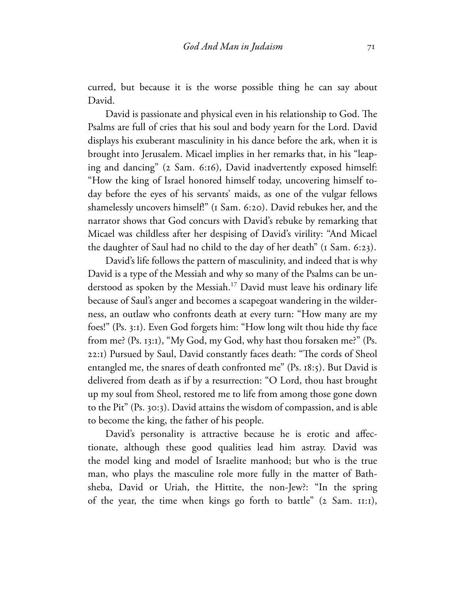curred, but because it is the worse possible thing he can say about David.

David is passionate and physical even in his relationship to God. The Psalms are full of cries that his soul and body yearn for the Lord. David displays his exuberant masculinity in his dance before the ark, when it is brought into Jerusalem. Micael implies in her remarks that, in his "leaping and dancing" (2 Sam. 6:16), David inadvertently exposed himself: "How the king of Israel honored himself today, uncovering himself today before the eyes of his servants' maids, as one of the vulgar fellows shamelessly uncovers himself!" (I Sam. 6:20). David rebukes her, and the narrator shows that God concurs with David's rebuke by remarking that Micael was childless after her despising of David's virility: "And Micael the daughter of Saul had no child to the day of her death" ( $\bar{1}$  Sam. 6:23).

David's life follows the pattern of masculinity, and indeed that is why David is a type of the Messiah and why so many of the Psalms can be understood as spoken by the Messiah.<sup>17</sup> David must leave his ordinary life because of Saul's anger and becomes a scapegoat wandering in the wilderness, an outlaw who confronts death at every turn: "How many are my foes!" (Ps. 3:). Even God forgets him: "How long wilt thou hide thy face from me? (Ps. 13:1), "My God, my God, why hast thou forsaken me?" (Ps. 22:) Pursued by Saul, David constantly faces death: "The cords of Sheol entangled me, the snares of death confronted me" (Ps. 18:5). But David is delivered from death as if by a resurrection: "O Lord, thou hast brought up my soul from Sheol, restored me to life from among those gone down to the Pit" (Ps. 30:3). David attains the wisdom of compassion, and is able to become the king, the father of his people.

David's personality is attractive because he is erotic and affectionate, although these good qualities lead him astray. David was the model king and model of Israelite manhood; but who is the true man, who plays the masculine role more fully in the matter of Bathsheba, David or Uriah, the Hittite, the non-Jew?: "In the spring of the year, the time when kings go forth to battle" (2 Sam. II:I),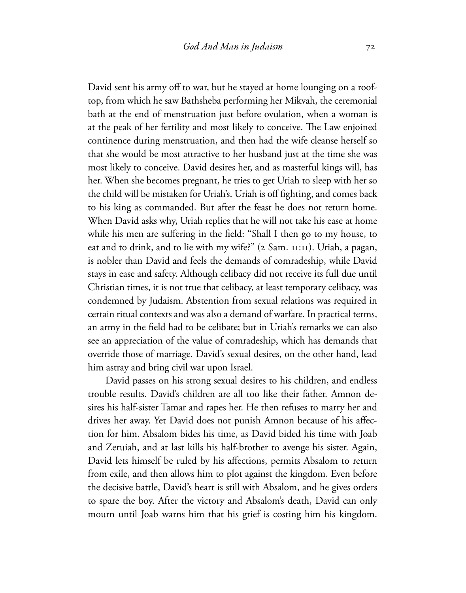David sent his army off to war, but he stayed at home lounging on a rooftop, from which he saw Bathsheba performing her Mikvah, the ceremonial bath at the end of menstruation just before ovulation, when a woman is at the peak of her fertility and most likely to conceive. The Law enjoined continence during menstruation, and then had the wife cleanse herself so that she would be most attractive to her husband just at the time she was most likely to conceive. David desires her, and as masterful kings will, has her. When she becomes pregnant, he tries to get Uriah to sleep with her so the child will be mistaken for Uriah's. Uriah is off fighting, and comes back to his king as commanded. But after the feast he does not return home. When David asks why, Uriah replies that he will not take his ease at home while his men are suffering in the field: "Shall I then go to my house, to eat and to drink, and to lie with my wife?"  $(2 \text{ Sam. II:II})$ . Uriah, a pagan, is nobler than David and feels the demands of comradeship, while David stays in ease and safety. Although celibacy did not receive its full due until Christian times, it is not true that celibacy, at least temporary celibacy, was condemned by Judaism. Abstention from sexual relations was required in certain ritual contexts and was also a demand of warfare. In practical terms, an army in the field had to be celibate; but in Uriah's remarks we can also see an appreciation of the value of comradeship, which has demands that override those of marriage. David's sexual desires, on the other hand, lead him astray and bring civil war upon Israel.

David passes on his strong sexual desires to his children, and endless trouble results. David's children are all too like their father. Amnon desires his half-sister Tamar and rapes her. He then refuses to marry her and drives her away. Yet David does not punish Amnon because of his affection for him. Absalom bides his time, as David bided his time with Joab and Zeruiah, and at last kills his half-brother to avenge his sister. Again, David lets himself be ruled by his affections, permits Absalom to return from exile, and then allows him to plot against the kingdom. Even before the decisive battle, David's heart is still with Absalom, and he gives orders to spare the boy. After the victory and Absalom's death, David can only mourn until Joab warns him that his grief is costing him his kingdom.